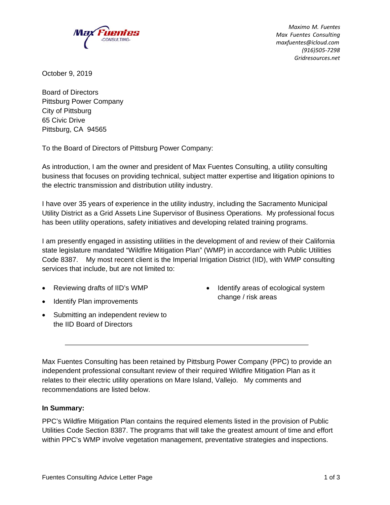

*Maximo M. Fuentes Max Fuentes Consulting maxfuentes@icloud.com (916)505‐7298 Gridresources.net*

October 9, 2019

Board of Directors Pittsburg Power Company City of Pittsburg 65 Civic Drive Pittsburg, CA 94565

To the Board of Directors of Pittsburg Power Company:

As introduction, I am the owner and president of Max Fuentes Consulting, a utility consulting business that focuses on providing technical, subject matter expertise and litigation opinions to the electric transmission and distribution utility industry.

I have over 35 years of experience in the utility industry, including the Sacramento Municipal Utility District as a Grid Assets Line Supervisor of Business Operations. My professional focus has been utility operations, safety initiatives and developing related training programs.

I am presently engaged in assisting utilities in the development of and review of their California state legislature mandated "Wildfire Mitigation Plan" (WMP) in accordance with Public Utilities Code 8387. My most recent client is the Imperial Irrigation District (IID), with WMP consulting services that include, but are not limited to:

- Reviewing drafts of IID's WMP
- Identify Plan improvements
- Submitting an independent review to the IID Board of Directors
- Identify areas of ecological system change / risk areas

Max Fuentes Consulting has been retained by Pittsburg Power Company (PPC) to provide an independent professional consultant review of their required Wildfire Mitigation Plan as it relates to their electric utility operations on Mare Island, Vallejo. My comments and recommendations are listed below.

# **In Summary:**

PPC's Wildfire Mitigation Plan contains the required elements listed in the provision of Public Utilities Code Section 8387. The programs that will take the greatest amount of time and effort within PPC's WMP involve vegetation management, preventative strategies and inspections.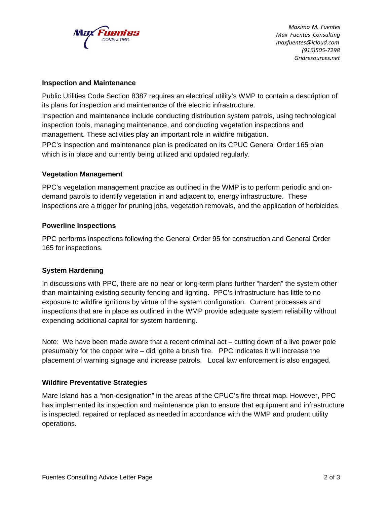

*Maximo M. Fuentes Max Fuentes Consulting maxfuentes@icloud.com (916)505‐7298 Gridresources.net*

## **Inspection and Maintenance**

Public Utilities Code Section 8387 requires an electrical utility's WMP to contain a description of its plans for inspection and maintenance of the electric infrastructure.

Inspection and maintenance include conducting distribution system patrols, using technological inspection tools, managing maintenance, and conducting vegetation inspections and management. These activities play an important role in wildfire mitigation.

PPC's inspection and maintenance plan is predicated on its CPUC General Order 165 plan which is in place and currently being utilized and updated regularly.

## **Vegetation Management**

PPC's vegetation management practice as outlined in the WMP is to perform periodic and ondemand patrols to identify vegetation in and adjacent to, energy infrastructure. These inspections are a trigger for pruning jobs, vegetation removals, and the application of herbicides.

## **Powerline Inspections**

PPC performs inspections following the General Order 95 for construction and General Order 165 for inspections.

# **System Hardening**

In discussions with PPC, there are no near or long-term plans further "harden" the system other than maintaining existing security fencing and lighting. PPC's infrastructure has little to no exposure to wildfire ignitions by virtue of the system configuration. Current processes and inspections that are in place as outlined in the WMP provide adequate system reliability without expending additional capital for system hardening.

Note: We have been made aware that a recent criminal act – cutting down of a live power pole presumably for the copper wire – did ignite a brush fire. PPC indicates it will increase the placement of warning signage and increase patrols. Local law enforcement is also engaged.

## **Wildfire Preventative Strategies**

Mare Island has a "non-designation" in the areas of the CPUC's fire threat map. However, PPC has implemented its inspection and maintenance plan to ensure that equipment and infrastructure is inspected, repaired or replaced as needed in accordance with the WMP and prudent utility operations.